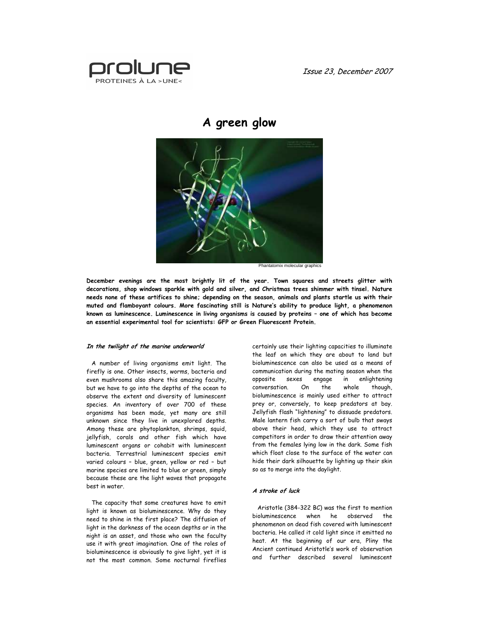Issue 23, December 2007



# A green glow



Phantatomix molecular graphics

December evenings are the most brightly lit of the year. Town squares and streets glitter with decorations, shop windows sparkle with gold and silver, and Christmas trees shimmer with tinsel. Nature needs none of these artifices to shine; depending on the season, animals and plants startle us with their muted and flamboyant colours. More fascinating still is Nature's ability to produce light, a phenomenon known as luminescence. Luminescence in living organisms is caused by proteins – one of which has become an essential experimental tool for scientists: GFP or Green Fluorescent Protein.

#### In the twilight of the marine underworld

A number of living organisms emit light. The firefly is one. Other insects, worms, bacteria and even mushrooms also share this amazing faculty, but we have to go into the depths of the ocean to observe the extent and diversity of luminescent species. An inventory of over 700 of these organisms has been made, yet many are still unknown since they live in unexplored depths. Among these are phytoplankton, shrimps, squid, jellyfish, corals and other fish which have luminescent organs or cohabit with luminescent bacteria. Terrestrial luminescent species emit varied colours – blue, green, yellow or red – but marine species are limited to blue or green, simply because these are the light waves that propagate best in water.

The capacity that some creatures have to emit light is known as bioluminescence. Why do they need to shine in the first place? The diffusion of light in the darkness of the ocean depths or in the night is an asset, and those who own the faculty use it with great imagination. One of the roles of bioluminescence is obviously to give light, yet it is not the most common. Some nocturnal fireflies certainly use their lighting capacities to illuminate the leaf on which they are about to land but bioluminescence can also be used as a means of communication during the mating season when the opposite sexes engage in enlightening<br>conversation. On the whole though, conversation. On the bioluminescence is mainly used either to attract prey or, conversely, to keep predators at bay. Jellyfish flash "lightening" to dissuade predators. Male lantern fish carry a sort of bulb that sways above their head, which they use to attract competitors in order to draw their attention away from the females lying low in the dark. Some fish which float close to the surface of the water can hide their dark silhouette by lighting up their skin so as to merge into the daylight.

### A stroke of luck

Aristotle (384-322 BC) was the first to mention bioluminescence when he observed the phenomenon on dead fish covered with luminescent bacteria. He called it cold light since it emitted no heat. At the beginning of our era, Pliny the Ancient continued Aristotle's work of observation and further described several luminescent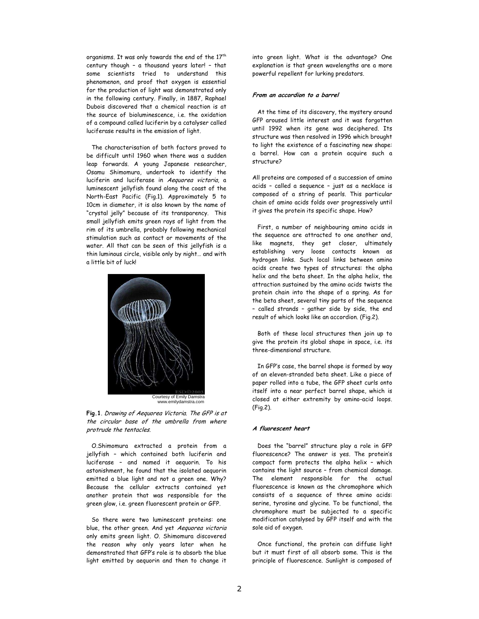organisms. It was only towards the end of the 17<sup>th</sup> century though – a thousand years later! – that some scientists tried to understand this phenomenon, and proof that oxygen is essential for the production of light was demonstrated only in the following century. Finally, in 1887, Raphael Dubois discovered that a chemical reaction is at the source of bioluminescence, i.e. the oxidation of a compound called luciferin by a catalyser called luciferase results in the emission of light.

The characterisation of both factors proved to be difficult until 1960 when there was a sudden leap forwards. A young Japanese researcher, Osamu Shimomura, undertook to identify the luciferin and luciferase in Aequorea victoria, a luminescent jellyfish found along the coast of the North-East Pacific (Fig.1). Approximately 5 to 10cm in diameter, it is also known by the name of "crystal jelly" because of its transparency. This small jellyfish emits green rays of light from the rim of its umbrella, probably following mechanical stimulation such as contact or movements of the water. All that can be seen of this jellyfish is a thin luminous circle, visible only by night… and with a little bit of luck!



Fig.1. Drawing of Aequorea Victoria. The GFP is at the circular base of the umbrella from where protrude the tentacles.

O.Shimomura extracted a protein from a jellyfish – which contained both luciferin and luciferase – and named it aequorin. To his astonishment, he found that the isolated aequorin emitted a blue light and not a green one. Why? Because the cellular extracts contained yet another protein that was responsible for the green glow, i.e. green fluorescent protein or GFP.

So there were two luminescent proteins: one blue, the other green. And yet Aequorea victoria only emits green light. O. Shimomura discovered the reason why only years later when he demonstrated that GFP's role is to absorb the blue light emitted by aequorin and then to change it into green light. What is the advantage? One explanation is that green wavelengths are a more powerful repellent for lurking predators.

# From an accordion to a barrel

At the time of its discovery, the mystery around GFP aroused little interest and it was forgotten until 1992 when its gene was deciphered. Its structure was then resolved in 1996 which brought to light the existence of a fascinating new shape: a barrel. How can a protein acquire such a structure?

All proteins are composed of a succession of amino acids – called a sequence – just as a necklace is composed of a string of pearls. This particular chain of amino acids folds over progressively until it gives the protein its specific shape. How?

First, a number of neighbouring amino acids in the sequence are attracted to one another and, like magnets, they get closer, ultimately establishing very loose contacts known as hydrogen links. Such local links between amino acids create two types of structures: the alpha helix and the beta sheet. In the alpha helix, the attraction sustained by the amino acids twists the protein chain into the shape of a spring. As for the beta sheet, several tiny parts of the sequence – called strands – gather side by side, the end result of which looks like an accordion. (Fig.2).

Both of these local structures then join up to give the protein its global shape in space, i.e. its three-dimensional structure.

In GFP's case, the barrel shape is formed by way of an eleven-stranded beta sheet. Like a piece of paper rolled into a tube, the GFP sheet curls onto itself into a near perfect barrel shape, which is closed at either extremity by amino-acid loops. (Fig.2).

### A fluorescent heart

Does the "barrel" structure play a role in GFP fluorescence? The answer is yes. The protein's compact form protects the alpha helix – which contains the light source – from chemical damage. The element responsible for the actual fluorescence is known as the chromophore which consists of a sequence of three amino acids: serine, tyrosine and glycine. To be functional, the chromophore must be subjected to a specific modification catalysed by GFP itself and with the sole aid of oxygen.

Once functional, the protein can diffuse light but it must first of all absorb some. This is the principle of fluorescence. Sunlight is composed of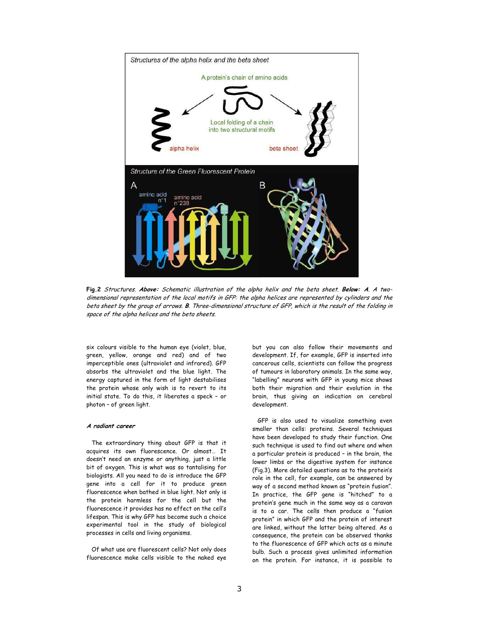

Fig.2 Structures. Above: Schematic illustration of the alpha helix and the beta sheet. Below: A. A twodimensional representation of the local motifs in GFP: the alpha helices are represented by cylinders and the beta sheet by the group of arrows. B. Three-dimensional structure of GFP, which is the result of the folding in space of the alpha helices and the beta sheets.

six colours visible to the human eye (violet, blue, green, yellow, orange and red) and of two imperceptible ones (ultraviolet and infrared). GFP absorbs the ultraviolet and the blue light. The energy captured in the form of light destabilises the protein whose only wish is to revert to its initial state. To do this, it liberates a speck – or photon – of green light.

## A radiant career

The extraordinary thing about GFP is that it acquires its own fluorescence. Or almost… It doesn't need an enzyme or anything, just a little bit of oxygen. This is what was so tantalising for biologists. All you need to do is introduce the GFP gene into a cell for it to produce green fluorescence when bathed in blue light. Not only is the protein harmless for the cell but the fluorescence it provides has no effect on the cell's lifespan. This is why GFP has become such a choice experimental tool in the study of biological processes in cells and living organisms.

Of what use are fluorescent cells? Not only does fluorescence make cells visible to the naked eye but you can also follow their movements and development. If, for example, GFP is inserted into cancerous cells, scientists can follow the progress of tumours in laboratory animals. In the same way, "labelling" neurons with GFP in young mice shows both their migration and their evolution in the brain, thus giving an indication on cerebral development.

GFP is also used to visualize something even smaller than cells: proteins. Several techniques have been developed to study their function. One such technique is used to find out where and when a particular protein is produced – in the brain, the lower limbs or the digestive system for instance (Fig.3). More detailed questions as to the protein's role in the cell, for example, can be answered by way of a second method known as "protein fusion". In practice, the GFP gene is "hitched" to a protein's gene much in the same way as a caravan is to a car. The cells then produce a "fusion protein" in which GFP and the protein of interest are linked, without the latter being altered. As a consequence, the protein can be observed thanks to the fluorescence of GFP which acts as a minute bulb. Such a process gives unlimited information on the protein. For instance, it is possible to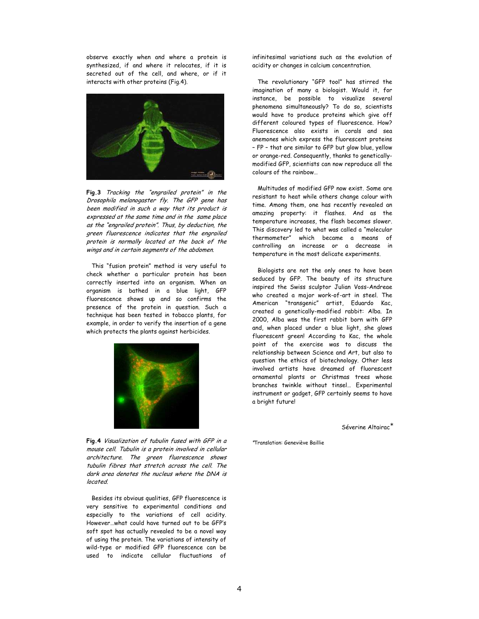observe exactly when and where a protein is synthesized, if and where it relocates, if it is secreted out of the cell, and where, or if it interacts with other proteins (Fig.4).



Fig.3 Tracking the "engrailed protein" in the Drosophila melanogaster fly. The GFP gene has been modified in such a way that its product is expressed at the same time and in the same place as the "engrailed protein". Thus, by deduction, the green fluorescence indicates that the engrailed protein is normally located at the back of the wings and in certain segments of the abdomen.

This "fusion protein" method is very useful to check whether a particular protein has been correctly inserted into an organism. When an organism is bathed in a blue light, GFP fluorescence shows up and so confirms the presence of the protein in question. Such a technique has been tested in tobacco plants, for example, in order to verify the insertion of a gene which protects the plants against herbicides.



Fig.4 Visualization of tubulin fused with GFP in a mouse cell. Tubulin is a protein involved in cellular architecture. The green fluorescence shows tubulin fibres that stretch across the cell. The dark area denotes the nucleus where the DNA is located.

Besides its obvious qualities, GFP fluorescence is very sensitive to experimental conditions and especially to the variations of cell acidity. However…what could have turned out to be GFP's soft spot has actually revealed to be a novel way of using the protein. The variations of intensity of wild-type or modified GFP fluorescence can be used to indicate cellular fluctuations of infinitesimal variations such as the evolution of acidity or changes in calcium concentration.

The revolutionary "GFP tool" has stirred the imagination of many a biologist. Would it, for instance, be possible to visualize several phenomena simultaneously? To do so, scientists would have to produce proteins which give off different coloured types of fluorescence. How? Fluorescence also exists in corals and sea anemones which express the fluorescent proteins – FP – that are similar to GFP but glow blue, yellow or orange-red. Consequently, thanks to geneticallymodified GFP, scientists can now reproduce all the colours of the rainbow…

Multitudes of modified GFP now exist. Some are resistant to heat while others change colour with time. Among them, one has recently revealed an amazing property: it flashes. And as the temperature increases, the flash becomes slower. This discovery led to what was called a "molecular thermometer" which became a means of controlling an increase or a decrease in temperature in the most delicate experiments.

Biologists are not the only ones to have been seduced by GFP. The beauty of its structure inspired the Swiss sculptor Julian Voss-Andreae who created a major work-of-art in steel. The American "transgenic" artist, Eduardo Kac, created a genetically-modified rabbit: Alba. In 2000, Alba was the first rabbit born with GFP and, when placed under a blue light, she glows fluorescent green! According to Kac, the whole point of the exercise was to discuss the relationship between Science and Art, but also to question the ethics of biotechnology. Other less involved artists have dreamed of fluorescent ornamental plants or Christmas trees whose branches twinkle without tinsel… Experimental instrument or gadget, GFP certainly seems to have a bright future!

Séverine Altairac<sup>\*</sup>

<sup>∗</sup>Translation: Geneviève Baillie